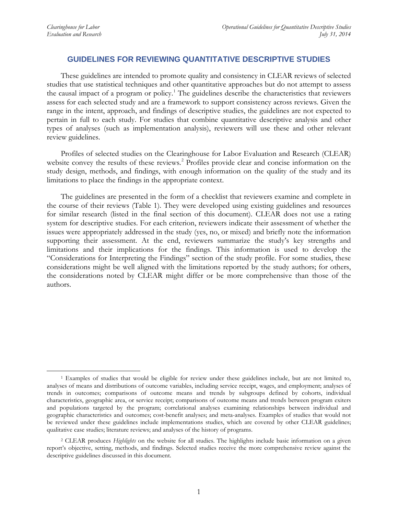## **GUIDELINES FOR REVIEWING QUANTITATIVE DESCRIPTIVE STUDIES**

These guidelines are intended to promote quality and consistency in CLEAR reviews of selected studies that use statistical techniques and other quantitative approaches but do not attempt to assess the causal impact of a program or policy.<sup>[1](#page-0-0)</sup> The guidelines describe the characteristics that reviewers assess for each selected study and are a framework to support consistency across reviews. Given the range in the intent, approach, and findings of descriptive studies, the guidelines are not expected to pertain in full to each study. For studies that combine quantitative descriptive analysis and other types of analyses (such as implementation analysis), reviewers will use these and other relevant review guidelines.

Profiles of selected studies on the Clearinghouse for Labor Evaluation and Research (CLEAR) website convey the results of these reviews. [2](#page-0-1) Profiles provide clear and concise information on the study design, methods, and findings, with enough information on the quality of the study and its limitations to place the findings in the appropriate context.

The guidelines are presented in the form of a checklist that reviewers examine and complete in the course of their reviews (Table 1). They were developed using existing guidelines and resources for similar research (listed in the final section of this document). CLEAR does not use a rating system for descriptive studies. For each criterion, reviewers indicate their assessment of whether the issues were appropriately addressed in the study (yes, no, or mixed) and briefly note the information supporting their assessment. At the end, reviewers summarize the study's key strengths and limitations and their implications for the findings. This information is used to develop the "Considerations for Interpreting the Findings" section of the study profile. For some studies, these considerations might be well aligned with the limitations reported by the study authors; for others, the considerations noted by CLEAR might differ or be more comprehensive than those of the authors.

<span id="page-0-0"></span> <sup>1</sup> Examples of studies that would be eligible for review under these guidelines include, but are not limited to, analyses of means and distributions of outcome variables, including service receipt, wages, and employment; analyses of trends in outcomes; comparisons of outcome means and trends by subgroups defined by cohorts, individual characteristics, geographic area, or service receipt; comparisons of outcome means and trends between program exiters and populations targeted by the program; correlational analyses examining relationships between individual and geographic characteristics and outcomes; cost-benefit analyses; and meta-analyses. Examples of studies that would not be reviewed under these guidelines include implementations studies, which are covered by other CLEAR guidelines; qualitative case studies; literature reviews; and analyses of the history of programs.

<span id="page-0-1"></span><sup>2</sup> CLEAR produces *Highlights* on the website for all studies. The highlights include basic information on a given report's objective, setting, methods, and findings. Selected studies receive the more comprehensive review against the descriptive guidelines discussed in this document.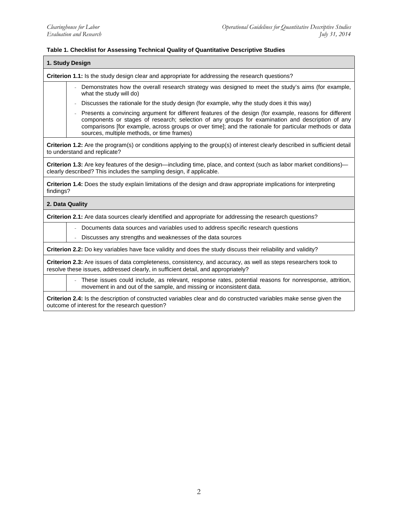## **Table 1. Checklist for Assessing Technical Quality of Quantitative Descriptive Studies**

|                                                                                                 | 1. Study Design                                                                                                                                                                                                                                                                                                                                                      |
|-------------------------------------------------------------------------------------------------|----------------------------------------------------------------------------------------------------------------------------------------------------------------------------------------------------------------------------------------------------------------------------------------------------------------------------------------------------------------------|
| Criterion 1.1: Is the study design clear and appropriate for addressing the research questions? |                                                                                                                                                                                                                                                                                                                                                                      |
|                                                                                                 | Demonstrates how the overall research strategy was designed to meet the study's aims (for example,<br>what the study will do)                                                                                                                                                                                                                                        |
|                                                                                                 | Discusses the rationale for the study design (for example, why the study does it this way)                                                                                                                                                                                                                                                                           |
|                                                                                                 | Presents a convincing argument for different features of the design (for example, reasons for different<br>components or stages of research; selection of any groups for examination and description of any<br>comparisons [for example, across groups or over time]; and the rationale for particular methods or data<br>sources, multiple methods, or time frames) |
|                                                                                                 | Criterion 1.2: Are the program(s) or conditions applying to the group(s) of interest clearly described in sufficient detail<br>to understand and replicate?                                                                                                                                                                                                          |
|                                                                                                 | Criterion 1.3: Are key features of the design—including time, place, and context (such as labor market conditions)—<br>clearly described? This includes the sampling design, if applicable.                                                                                                                                                                          |
| findings?                                                                                       | Criterion 1.4: Does the study explain limitations of the design and draw appropriate implications for interpreting                                                                                                                                                                                                                                                   |
|                                                                                                 | 2. Data Quality                                                                                                                                                                                                                                                                                                                                                      |
|                                                                                                 | <b>Criterion 2.1:</b> Are data sources clearly identified and appropriate for addressing the research questions?                                                                                                                                                                                                                                                     |
|                                                                                                 | Documents data sources and variables used to address specific research questions                                                                                                                                                                                                                                                                                     |
|                                                                                                 | Discusses any strengths and weaknesses of the data sources                                                                                                                                                                                                                                                                                                           |
|                                                                                                 | Criterion 2.2: Do key variables have face validity and does the study discuss their reliability and validity?                                                                                                                                                                                                                                                        |
|                                                                                                 | Criterion 2.3: Are issues of data completeness, consistency, and accuracy, as well as steps researchers took to<br>resolve these issues, addressed clearly, in sufficient detail, and appropriately?                                                                                                                                                                 |
|                                                                                                 | These issues could include, as relevant, response rates, potential reasons for nonresponse, attrition,<br>movement in and out of the sample, and missing or inconsistent data.                                                                                                                                                                                       |

**Criterion 2.4:** Is the description of constructed variables clear and do constructed variables make sense given the outcome of interest for the research question?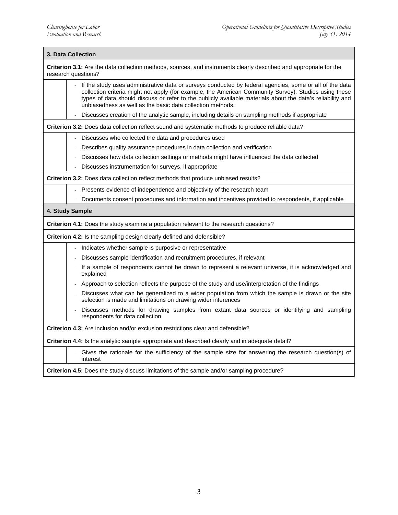| 3. Data Collection                                                                                                                                                                                                                                                                                                                                                                           |  |  |
|----------------------------------------------------------------------------------------------------------------------------------------------------------------------------------------------------------------------------------------------------------------------------------------------------------------------------------------------------------------------------------------------|--|--|
| Criterion 3.1: Are the data collection methods, sources, and instruments clearly described and appropriate for the<br>research questions?                                                                                                                                                                                                                                                    |  |  |
| If the study uses administrative data or surveys conducted by federal agencies, some or all of the data<br>collection criteria might not apply (for example, the American Community Survey). Studies using these<br>types of data should discuss or refer to the publicly available materials about the data's reliability and<br>unbiasedness as well as the basic data collection methods. |  |  |
| Discusses creation of the analytic sample, including details on sampling methods if appropriate                                                                                                                                                                                                                                                                                              |  |  |
| Criterion 3.2: Does data collection reflect sound and systematic methods to produce reliable data?                                                                                                                                                                                                                                                                                           |  |  |
| Discusses who collected the data and procedures used                                                                                                                                                                                                                                                                                                                                         |  |  |
| Describes quality assurance procedures in data collection and verification                                                                                                                                                                                                                                                                                                                   |  |  |
| Discusses how data collection settings or methods might have influenced the data collected                                                                                                                                                                                                                                                                                                   |  |  |
| Discusses instrumentation for surveys, if appropriate                                                                                                                                                                                                                                                                                                                                        |  |  |
| Criterion 3.2: Does data collection reflect methods that produce unbiased results?                                                                                                                                                                                                                                                                                                           |  |  |
| - Presents evidence of independence and objectivity of the research team                                                                                                                                                                                                                                                                                                                     |  |  |
| Documents consent procedures and information and incentives provided to respondents, if applicable                                                                                                                                                                                                                                                                                           |  |  |
| 4. Study Sample                                                                                                                                                                                                                                                                                                                                                                              |  |  |
| Criterion 4.1: Does the study examine a population relevant to the research questions?                                                                                                                                                                                                                                                                                                       |  |  |
| Criterion 4.2: Is the sampling design clearly defined and defensible?                                                                                                                                                                                                                                                                                                                        |  |  |
| Indicates whether sample is purposive or representative                                                                                                                                                                                                                                                                                                                                      |  |  |
| Discusses sample identification and recruitment procedures, if relevant                                                                                                                                                                                                                                                                                                                      |  |  |
| If a sample of respondents cannot be drawn to represent a relevant universe, it is acknowledged and<br>explained                                                                                                                                                                                                                                                                             |  |  |
| Approach to selection reflects the purpose of the study and use/interpretation of the findings                                                                                                                                                                                                                                                                                               |  |  |
| Discusses what can be generalized to a wider population from which the sample is drawn or the site<br>selection is made and limitations on drawing wider inferences                                                                                                                                                                                                                          |  |  |
| Discusses methods for drawing samples from extant data sources or identifying and sampling<br>respondents for data collection                                                                                                                                                                                                                                                                |  |  |
| <b>Criterion 4.3:</b> Are inclusion and/or exclusion restrictions clear and defensible?                                                                                                                                                                                                                                                                                                      |  |  |
| Criterion 4.4: Is the analytic sample appropriate and described clearly and in adequate detail?                                                                                                                                                                                                                                                                                              |  |  |
| Gives the rationale for the sufficiency of the sample size for answering the research question(s) of<br>interest                                                                                                                                                                                                                                                                             |  |  |
| Criterion 4.5: Does the study discuss limitations of the sample and/or sampling procedure?                                                                                                                                                                                                                                                                                                   |  |  |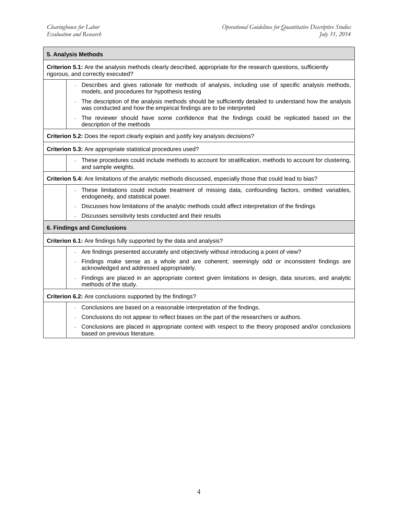| 5. Analysis Methods<br><b>Criterion 5.1:</b> Are the analysis methods clearly described, appropriate for the research questions, sufficiently<br>rigorous, and correctly executed? |  |  |
|------------------------------------------------------------------------------------------------------------------------------------------------------------------------------------|--|--|
|                                                                                                                                                                                    |  |  |
| The description of the analysis methods should be sufficiently detailed to understand how the analysis<br>was conducted and how the empirical findings are to be interpreted       |  |  |
| The reviewer should have some confidence that the findings could be replicated based on the<br>description of the methods                                                          |  |  |
| Criterion 5.2: Does the report clearly explain and justify key analysis decisions?                                                                                                 |  |  |
| Criterion 5.3: Are appropriate statistical procedures used?                                                                                                                        |  |  |
| These procedures could include methods to account for stratification, methods to account for clustering,<br>and sample weights.                                                    |  |  |
| Criterion 5.4: Are limitations of the analytic methods discussed, especially those that could lead to bias?                                                                        |  |  |
| These limitations could include treatment of missing data, confounding factors, omitted variables,<br>endogeneity, and statistical power.                                          |  |  |
| Discusses how limitations of the analytic methods could affect interpretation of the findings                                                                                      |  |  |
| Discusses sensitivity tests conducted and their results                                                                                                                            |  |  |
| <b>6. Findings and Conclusions</b>                                                                                                                                                 |  |  |
| Criterion 6.1: Are findings fully supported by the data and analysis?                                                                                                              |  |  |
| - Are findings presented accurately and objectively without introducing a point of view?                                                                                           |  |  |
| Findings make sense as a whole and are coherent; seemingly odd or inconsistent findings are<br>acknowledged and addressed appropriately.                                           |  |  |
| Findings are placed in an appropriate context given limitations in design, data sources, and analytic<br>methods of the study.                                                     |  |  |
| <b>Criterion 6.2:</b> Are conclusions supported by the findings?                                                                                                                   |  |  |
| Conclusions are based on a reasonable interpretation of the findings.                                                                                                              |  |  |
| Conclusions do not appear to reflect biases on the part of the researchers or authors.                                                                                             |  |  |
| Conclusions are placed in appropriate context with respect to the theory proposed and/or conclusions<br>based on previous literature.                                              |  |  |